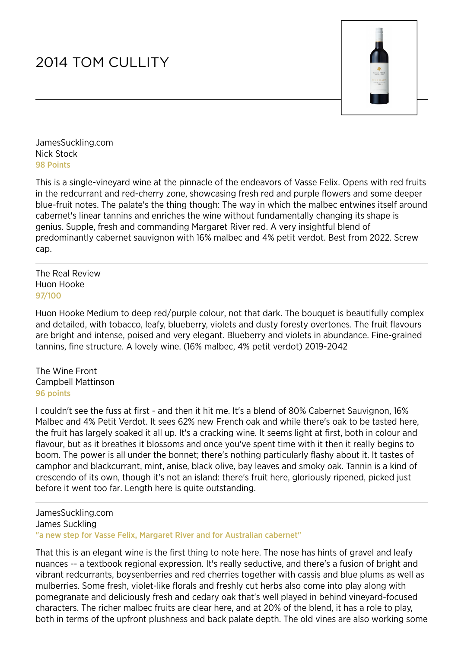## 2014 TOM CULLITY



JamesSuckling.com Nick Stock 98 Points

This is a single-vineyard wine at the pinnacle of the endeavors of Vasse Felix. Opens with red fruits in the redcurrant and red-cherry zone, showcasing fresh red and purple flowers and some deeper blue-fruit notes. The palate's the thing though: The way in which the malbec entwines itself around cabernet's linear tannins and enriches the wine without fundamentally changing its shape is genius. Supple, fresh and commanding Margaret River red. A very insightful blend of predominantly cabernet sauvignon with 16% malbec and 4% petit verdot. Best from 2022. Screw cap.

The Real Review Huon Hooke 97/100

Huon Hooke Medium to deep red/purple colour, not that dark. The bouquet is beautifully complex and detailed, with tobacco, leafy, blueberry, violets and dusty foresty overtones. The fruit flavours are bright and intense, poised and very elegant. Blueberry and violets in abundance. Fine-grained tannins, fine structure. A lovely wine. (16% malbec, 4% petit verdot) 2019-2042

The Wine Front Campbell Mattinson 96 points

I couldn't see the fuss at first - and then it hit me. It's a blend of 80% Cabernet Sauvignon, 16% Malbec and 4% Petit Verdot. It sees 62% new French oak and while there's oak to be tasted here, the fruit has largely soaked it all up. It's a cracking wine. It seems light at first, both in colour and flavour, but as it breathes it blossoms and once you've spent time with it then it really begins to boom. The power is all under the bonnet; there's nothing particularly flashy about it. It tastes of camphor and blackcurrant, mint, anise, black olive, bay leaves and smoky oak. Tannin is a kind of crescendo of its own, though it's not an island: there's fruit here, gloriously ripened, picked just before it went too far. Length here is quite outstanding.

JamesSuckling.com James Suckling "a new step for Vasse Felix, Margaret River and for Australian cabernet"

That this is an elegant wine is the first thing to note here. The nose has hints of gravel and leafy nuances -- a textbook regional expression. It's really seductive, and there's a fusion of bright and vibrant redcurrants, boysenberries and red cherries together with cassis and blue plums as well as mulberries. Some fresh, violet-like florals and freshly cut herbs also come into play along with pomegranate and deliciously fresh and cedary oak that's well played in behind vineyard-focused characters. The richer malbec fruits are clear here, and at 20% of the blend, it has a role to play, both in terms of the upfront plushness and back palate depth. The old vines are also working some